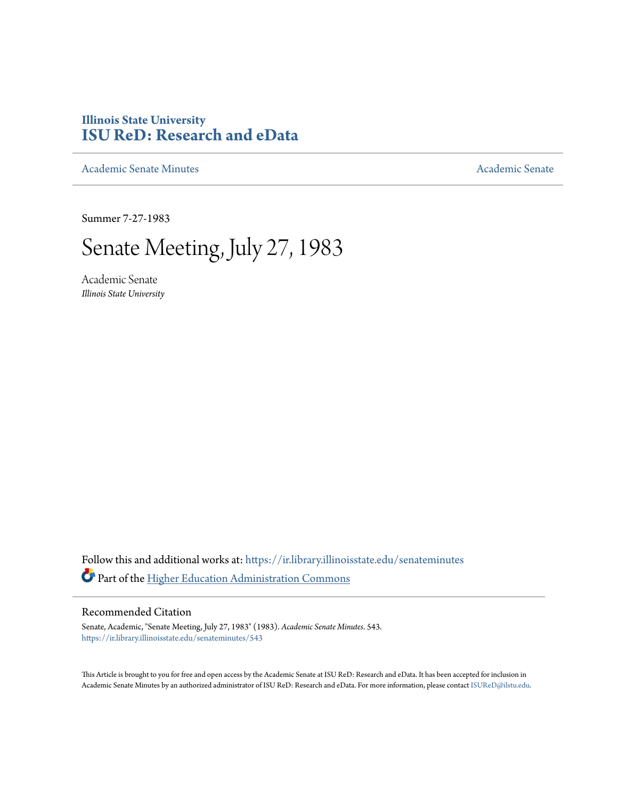# **Illinois State University [ISU ReD: Research and eData](https://ir.library.illinoisstate.edu?utm_source=ir.library.illinoisstate.edu%2Fsenateminutes%2F543&utm_medium=PDF&utm_campaign=PDFCoverPages)**

[Academic Senate Minutes](https://ir.library.illinoisstate.edu/senateminutes?utm_source=ir.library.illinoisstate.edu%2Fsenateminutes%2F543&utm_medium=PDF&utm_campaign=PDFCoverPages) [Academic Senate](https://ir.library.illinoisstate.edu/senate?utm_source=ir.library.illinoisstate.edu%2Fsenateminutes%2F543&utm_medium=PDF&utm_campaign=PDFCoverPages) Academic Senate

Summer 7-27-1983

# Senate Meeting, July 27, 1983

Academic Senate *Illinois State University*

Follow this and additional works at: [https://ir.library.illinoisstate.edu/senateminutes](https://ir.library.illinoisstate.edu/senateminutes?utm_source=ir.library.illinoisstate.edu%2Fsenateminutes%2F543&utm_medium=PDF&utm_campaign=PDFCoverPages) Part of the [Higher Education Administration Commons](http://network.bepress.com/hgg/discipline/791?utm_source=ir.library.illinoisstate.edu%2Fsenateminutes%2F543&utm_medium=PDF&utm_campaign=PDFCoverPages)

# Recommended Citation

Senate, Academic, "Senate Meeting, July 27, 1983" (1983). *Academic Senate Minutes*. 543. [https://ir.library.illinoisstate.edu/senateminutes/543](https://ir.library.illinoisstate.edu/senateminutes/543?utm_source=ir.library.illinoisstate.edu%2Fsenateminutes%2F543&utm_medium=PDF&utm_campaign=PDFCoverPages)

This Article is brought to you for free and open access by the Academic Senate at ISU ReD: Research and eData. It has been accepted for inclusion in Academic Senate Minutes by an authorized administrator of ISU ReD: Research and eData. For more information, please contact [ISUReD@ilstu.edu.](mailto:ISUReD@ilstu.edu)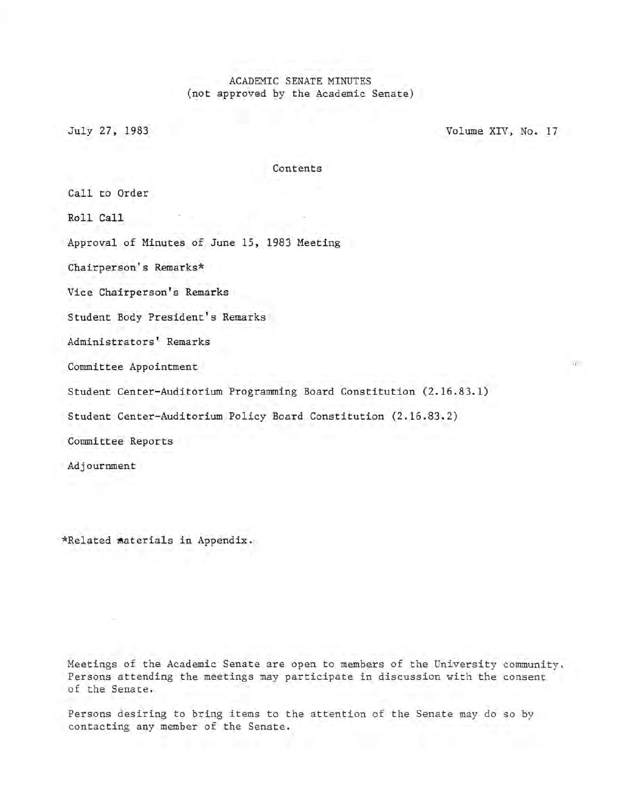# ACADEMIC SENATE MINUTES (not approved by the Academic Senate)

July 27, 1983 Volume XIV, No. 17

Contents

Call to Order

Roll Call

Approval of Minutes of June 15, 1983 Meeting

Chairperson's Remarks\*

Vice Chairperson's Remarks

Student Body President's Remarks

Administrators' Remarks

Committee Appointment

Student Center-Auditorium Programming Board Constitution (2.16.83.1)

Student Center-Auditorium Policy Board Constitution (2.16.83.2)

Committee Reports

Adjournment

\*Related materials in Appendix.

Meetings of the Academic Senate are open to members of the University community. Persons attending the meetings may participate in discussion with the consent of the Senate.

Persons desiring to bring items to the attention of the Senate may do so by contacting any member of the Senate.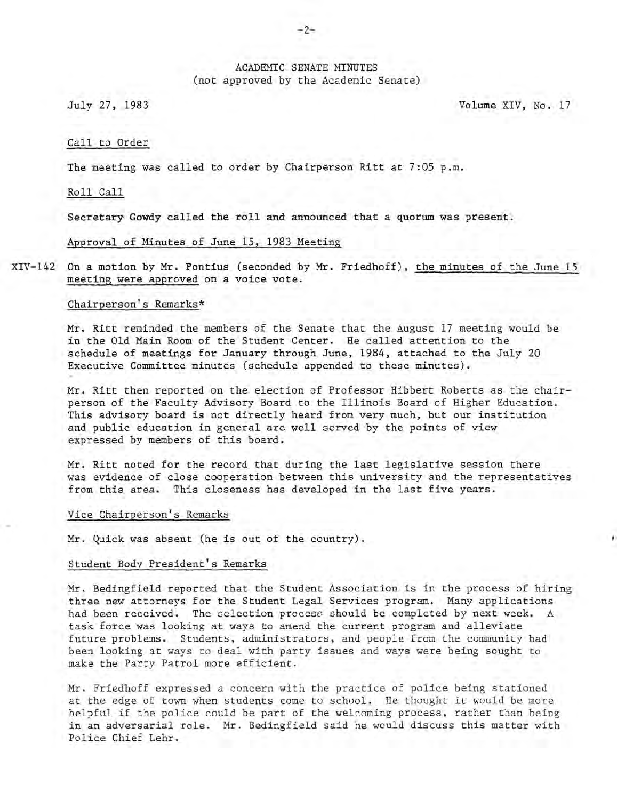# ACADEMIC SENATE MINUTES (not approved by the Academic Senate)

July 27, 1983 Volume XIV, No. 17

#### Call to Order

The meeting was called to order by Chairperson Ritt at 7:05 p.m.

Roll Call

. Secretary' Gowdy called the rolland announced that a quorum was present.

Approval of Minutes of June 15, 1983 Meeting

XIV-142 On a motion by Mr. Pontius (seconded by Mr. Friedhoff), the minutes of the June 15 meeting were approved on a voice vote.

# Chairperson's Remarks\*

Mr. Ritt reminded the members of the Senate that the August 17 meeting would be in the Old Main Room of the Student Center. He called attention to the schedule of meetings for January through June, 1984, attached to the July 20 Executive Committee minutes (schedule appended to these minutes).

Mr. Ritt then reported on the election of Professor Hibbert Roberts as the chairperson of the Faculty Advisory Board to the Illinois Board of Higher Education. This advisory board is not directly heard from very much, but our institution and public education in general are well served by the points of view expressed by members of this board.

Mr. Ritt noted for the record that during the last legislative session there was evidence of close cooperation between this university and the representatives from this area. This closeness has developed in the last five years.

## Vice Chairperson's Remarks

Mr. Quick was absent (he is out of the country).

# Student Body President's Remarks

Mr. Bedingfield reported that the Student Association is in the process of hiring three new attorneys for the Student Legal Services program. Many applications had been received. The selection process should be completed by next week. task force was looking at ways to amend the current program and alleviate future problems. Students, administrators, and people from the community had been looking at ways to deal with party issues and ways were being sought to make the Party Patrol more efficient.

Mr. Friedhoff expressed a concern with the practice of police being stationed at the edge of town when students come to school. He thought it would be more helpful if the police could be part of the welcoming process, rather than being in an adversarial role. Mr. Bedingfield said he would discuss this matter with Police Chief Lehr.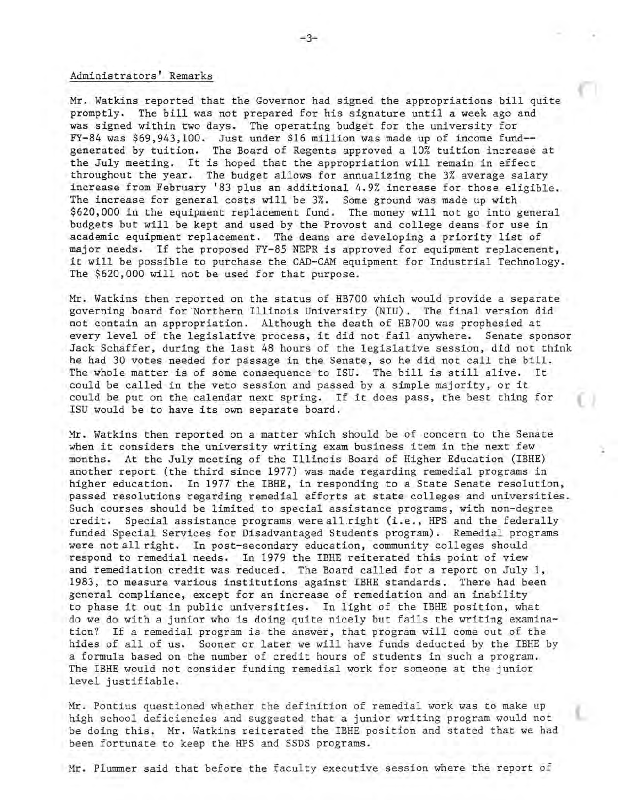# Administrators' Remarks

Mr. Watkins reported that the Governor had signed the appropriations bill quite promptly. The bill was not prepared for his signature until a week ago and was signed within two days. The operating budget for the university for FY-84 was \$69,943,100. Just under \$16 million was made up of income fund- generated by tuition. The Board of Regents approved a 10% tuition increase at the July meeting. It is hoped that the appropriation will remain in effect throughout the year. The budget allows for annualizing the 3% average salary increase from February '83 plus an additional 4.9% increase for those eligible. The increase for general costs will be 3%. Some ground was made up with \$620,000 in the equipment replacement fund. The money will not go into general budgets but will be kept and used by the Provost and college deans for use in academic equipment replacement. The deans are developing a priority list of major needs. If the proposed FY-85 NEPR is approved for equipment replacement, it will be possible to purchase the CAD-CAM equipment for Industrial Technology. The \$620,000 will not be used for that purpose.

Mr. Watkins then reported on the status of HB700 which would provide a separate governing board for 'Northern Illinois University (NIU). The final version did not contain an appropriation. Although the death of HB700 was prophesied at every level of the legislative process, it did not fail anywhere. Senate sponsor Jack Schaffer, during the last 48 hours of the legislative session, did not think he had 30 votes needed for passage in the Senate, so he did not call the bill. The whole matter is of some consequence to ISU. The bill is still alive. It could be called in the veto session and passed by a simple majority, or it could be put on the calendar next spring. If it does pass, the best thing for ISU would be to have its own separate board.

Mr. Watkins then reported on a matter which should be of concern to the Senate when it considers the university writing exam business item in the next few months. At the July meeting of the Illinois Board of Higher Education (IBHE) another report (the third since 1977) was made regarding remedial programs in higher education. In 1977 the IBHE, in responding to a State Senate resolution, passed resolutions regarding remedial efforts at state colleges and universities. Such courses should be limited to special assistance programs, with non-degree credit. Special assistance programs were all right (i.e., HPS and the federally funded Special Services for Disadvantaged Students program). Remedial programs were not all right. In post-secondary education, community colleges should respond to remedial needs. In 1979 the IBHE reiterated this point of view and remediation credit was reduced. The Board called for a report on July 1, 1983, to measure various institutions against IBHE standards. There had been general compliance, except for an increase of remediation and an inability to phase it out in public universities. In light of the IBHE position, what do we do with a junior who is doing quite nicely but fails the writing examination? If a remedial program is the answer, that program will come out of the hides of all of us. Sooner or later we will have funds deducted by the IBHE by a formula based on the number of credit hours of students in such a program. The IBHE would not consider funding remedial work for someone at the junior level justifiable.

Mr. Pontius questioned whether the definition of remedial work was to make up high school deficiencies and suggested that a junior writing program would not be doing this. Mr. Watkins reiterated the IBHE position and stated that we had been fortunate to keep the HPS and SSDS programs.

Mr. Plummer said that before the faculty executive session where the report of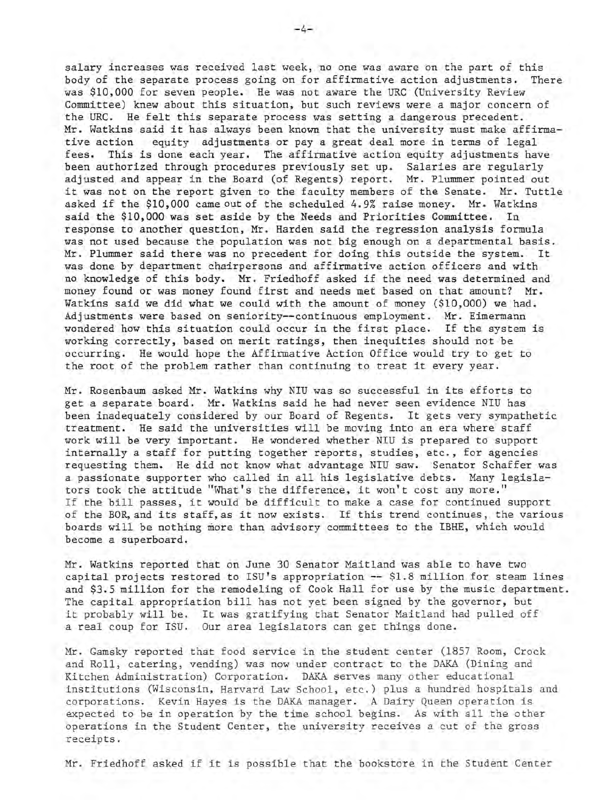salary increases was received last week, no one was aware on the part of this body of the separate process going on for affirmative action adjustments. There was \$10,000 for seven people. He was not aware the URC (University Review Committee) knew about this situation, but such reviews were a major concern of the URC. He felt this separate process was setting a dangerous precedent. Mr. Watkins said it has always been known that the university must make affirmative action equity adjustments or pay a great deal more in terms of legal fees. This is done each year. The affirmative action equity adjustments have been authorized through procedures previously set up. Salaries are regularly adjusted and appear in the Board (of Regents) report. Mr. Plummer pointed out it was not on the report given to the faculty members of the Senate. Mr. Tuttle asked if the \$10,000 came out of the scheduled 4.9% raise money. Mr. Watkins said the \$10,000 was set aside by the Needs and Priorities Committee. In response to another question, Mr. Harden said the regression analysis formula was not used because the population was not big enough on a departmental basis. Mr. Plummer said there was no precedent for doing this outside the system. It was done by department chairpersons and affirmative action officers and with no knowledge of this body. Mr. Friedhoff asked if the need was determined and money found or was money found first and needs met based on that amount? Mr. Watkins said we did what we could with the amount of money (\$10,000) we had. Adjustments were based on seniority--continuous employment. Mr. Eimermann wondered how this situation could occur in the first place. If the system is working correctly, based on merit ratings, then inequities should not be occurring. He would hope the Affirmative Action Office would try to get to the root of the problem rather than continuing to treat it every year.

Mr. Rosenbaum asked Mr. Watkins why NIU was so successful in its efforts to get a separate board. Mr. Watkins said he had never seen evidence NIU has been inadequately considered by our Board of Regents. It gets very sympathetic treatment. He said the universities will be moving into an era where staff work will be very important. He wondered whether NIU is prepared to support internally a staff for putting together reports, studies, etc., for agencies requesting them. He did not know what advantage NIU saw. Senator Schaffer was a passionate supporter who called in all his legislative debts. Many legislators took the attitude "What's the difference, it won't cost any more." If the bill passes, it would be difficult to make a case for continued support of the BOR, and its staff, as it now exists. If this trend continues, the various boards will be nothing more than advisory committees to the IBHE, which would become a superboard.

Mr. Watkins reported that on June 30 Senator Maitland was able to have two capital projects restored to ISU's appropriation **--** \$1.8 million for steam lines and \$3.5 million for the remodeling of Cook Hall for use by the music department. The capital appropriation bill has not yet been signed by the governor, but it probably will be. It was gratifying that Senator Maitland had pulled off a real coup for ISU. Our area legislators can get things done.

Mr. Gamsky reported that food service in the student center (1857 Room, Crock and Roll, catering, vending) was now under contract to the DAKA (Dining and Kitchen Administration) Corporation. DAKA serves many other educational institutions (Wisconsin, Harvard Law School, etc.) plus a hundred hospitals and corporations. Kevin Hayes is the DAKA manager. A Dairy Queen operation is expected to be in operation by the time school begins. As with all the other operations in the Student Center, the university receives a cut of the gross receipts.

Mr. Friedhoff asked if it is possible that the bookstore in the Student Center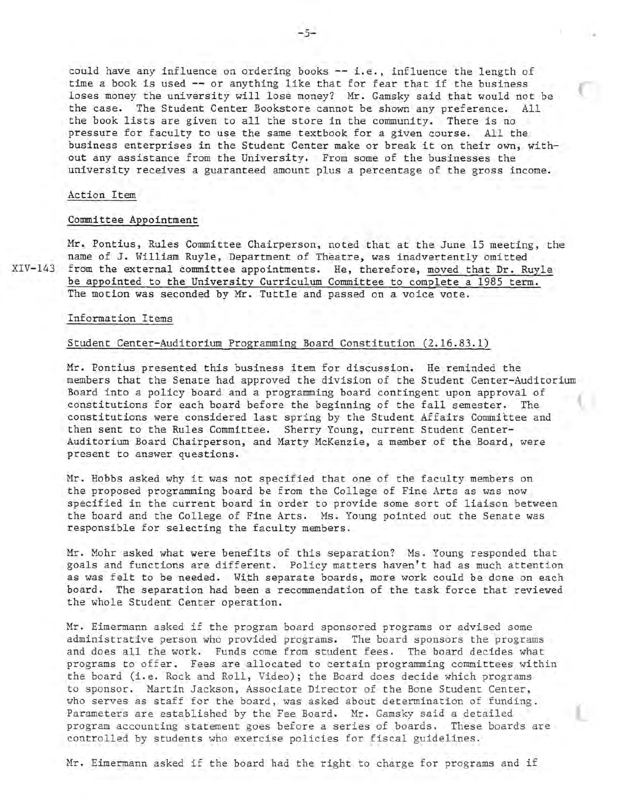could have any influence on ordering books **--** i.e., influence the length of time a book is used **--** or anything like that for fear that if the business loses money the university will lose money? Mr. Gamsky said that would not be the case. The Student Center Bookstore cannot be shown any preference. All the book lists are given to all the store in the community. There is no pressure for faculty to use the same textbook for a given course. All the business enterprises in the Student Center make or break it on their own, without any assistance from the University. From some of the businesses the university receives a guaranteed amount plus a percentage of the gross income.

#### Action Item

#### Committee Appointment

Mr. Pontius, Rules Committee Chairperson, noted that at the June 15 meeting, the name of J. William Ruyle, Department of Theatre, was inadvertently omitted XIV-143 from the external committee appointments. He, therefore, moved that Dr. Ruyle be appointed to the University Curriculum Committee to complete a 1985 term. The motion was seconded by Mr. Tuttle and passed on a voice vote.

# Information Items

# Student Center-Auditorium Programming Board Constitution (2.16.83.1)

Mr. Pontius presented this business item for discussion. He reminded the members that the Senate had approved the division of the Student Center-Auditorium Board into a policy board and a programming board contingent upon approval of constitutions for each board before the beginning of the fall semester. The constitutions were considered last spring by the Student Affairs Committee and then sent to the Rules Committee. Sherry Young, current Student Center-Auditorium Board Chairperson, and Marty McKenzie, a member of the Board, were present to answer questions.

Mr. Hobbs asked why it was not specified that one of the faculty members on the proposed programming board be from the College of Fine Arts as was now specified in the current board in order to provide some sort of liaison between the board and the College of Fine Arts. Ms. Young pointed out the Senate was responsible for selecting the faculty members.

Mr. Mohr asked what were benefits of this separation? Ms. Young responded that goals and functions are different. Policy matters haven't had as much attention as was felt to be needed. With separate boards, more work could be done on each board. The separation had been a recommendation of the task force that reviewed the whole Student Center operation.

Mr. Eimermann asked if the program board sponsored programs or advised some administrative person who provided programs. The board sponsors the programs and does all the work. Funds come from student fees. The board decides what programs to offer. Fees are allocated to certain programming committees within the board (i.e. Rock and Roll, Video); the Board does decide which programs to sponsor. Martin Jackson, Associate Director of the Bone Student Center, who serves as staff for the board, was asked about determination of funding. Parameters are established by the Fee Board. Mr. Gamsky said a detailed program accounting statement goes before a series of boards. These boards are controlled by students who exercise policies for fiscal guidelines.

Mr. Eimermann asked if the board had the right to charge for programs and if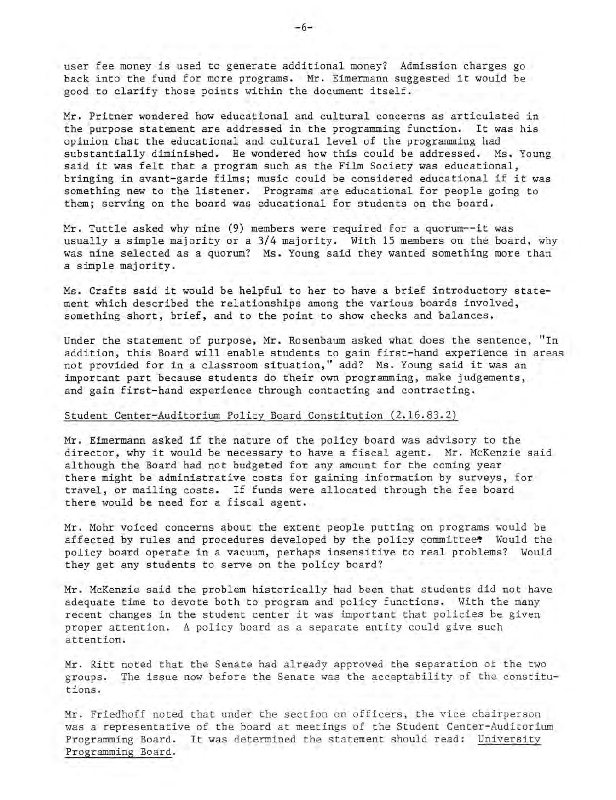user fee money is used to generate additional money? Admission charges go back into the fund for more programs. Mr. Eimermann suggested it would be good to clarify those points within the document itself.

Mr. Pritner wondered how educational and cultural concerns as articulated in the purpose statement are addressed in the programming function. It was his opinion that the educational and cultural level of the programming had substantially diminished. He wondered how this could be addressed. Ms. Young said it was felt that a program such as the Film Society was educational, bringing in avant-garde films; music could be considered educational if it was something new to the listener. Programs are educational for people going to them; serving on the board was educational for students on the board.

Mr. Tuttle asked why nine (9) members were required for a quorum--it was usually a simple majority or a 3/4 majority. With 15 members on the board, why was nine selected as a quorum? Ms. Young said they wanted something more than a simple majority.

Ms. Crafts said it would be helpful to her to have a brief introductory statement which described the relationships among the various boards involved, something short, brief, and to the point to show checks and balances.

Under the statement of purpose, Mr. Rosenbaum asked what does the sentence, "In addition, this Board will enable students to gain first- hand experience in areas not provided for in a classroom situation," add? Ms. Young said it was an important part because students do their own programming, make judgements, and gain first-hand experience through contacting and contracting.

### Student Center-Auditorium Policy Board Constitution (2.16.83.2)

Mr. Eimermann asked if the nature of the policy board was advisory to the director, why it would be necessary to have a fiscal agent. Mr. McKenzie said although the Board had not budgeted for any amount for the coming year there might be administrative costs for gaining information by surveys, for travel, or mailing costs. If funds were allocated through the fee board there would be need for a fiscal agent.

Mr. Mohr voiced concerns about the extent people putting on programs would be affected by rules and procedures developed by the policy committee. Would the policy board operate in a vacuum, perhaps insensitive to real problems? Would they get any students to serve on the policy board?

Mr. McKenzie said the problem historically had been that students did not have adequate time to devote both to program and policy functions. With the many recent changes in the student center it was important that policies be given proper attention. A policy board as a separate entity could give such attention.

Mr. Ritt noted that the Senate had already approved the separation of the two groups. The issue now before the Senate was the acceptability of the constitutions.

Mr. Friedhoff noted that under the section on officers, the vice chairperson was a representative of the board at meetings of the Student Center-Auditorium Programming Board. It was determined the statement should read: University Programming Board.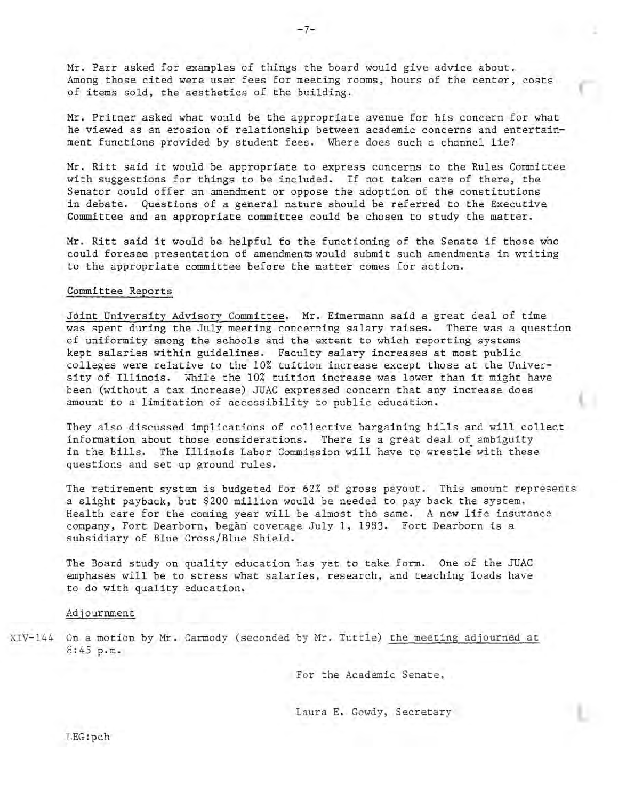Mr. Parr asked for examples of things the board would give advice about. Among those cited were user fees for meeting rooms, hours of the center, costs of items sold, the aesthetics of the building.

Mr. Pritner asked what would be the appropriate avenue for his concern for what he viewed as an erosion of relationship between academic concerns and entertainment functions provided by student fees. Where does such a channel lie?

Mr. Ritt said it would be appropriate to express concerns to the Rules Committee with suggestions for things to be included. If not taken care of there, the Senator could offer an amendment or oppose the adoption of the constitutions in debate. Questions of a general nature should be referred to the Executive Committee and an appropriate committee could be chosen to study the matter.

Mr. Ritt said it would be helpful fo the functioning of the Senate if those who could foresee presentation of amendments would submit such amendments in writing to the appropriate committee before the matter comes for action.

### Committee Reports

Joint University Advisory Committee. Mr. Eimermann said a great deal of time was spent during the July meeting concerning salary raises. There was a question of uniformity among the schools and the extent to which reporting systems kept salaries within guidelines. Faculty salary increases at most public colleges were relative to the 10% tuition increase except those at the University of Illinois. While the 10% tuition increase was lower than it might have been (without a tax increase) JUAC expressed concern that any increase does amount to a limitation of accessibility to public education.

They also discussed implications of collective bargaining bills and will collect information about those considerations. There is a great deal of ambiguity in the bills. The Illinois Labor Commission will have to wrestle with these questions and set up ground rules.

The retirement system is budgeted for 62% of gross payout. This amount represents a slight payback, but \$200 million would be needed to pay back the system. Health care for the coming year will be almost the same. A new life insurance company, Fort Dearborn, began' coverage July 1, 1983. Fort Dearborn is a subsidiary of Blue Cross/Blue Shield.

The Board study on quality education has yet to take form. One of the JUAC emphases will be to stress what salaries, research, and teaching loads have to do with quality education.

## Adjournment

XIV-144 On a motion by Mr. Carmody (seconded by Mr. Tuttle) the meeting adjourned at 8:45 p.m.

For the Academic Senate,

Laura E. Gowdy, Secretary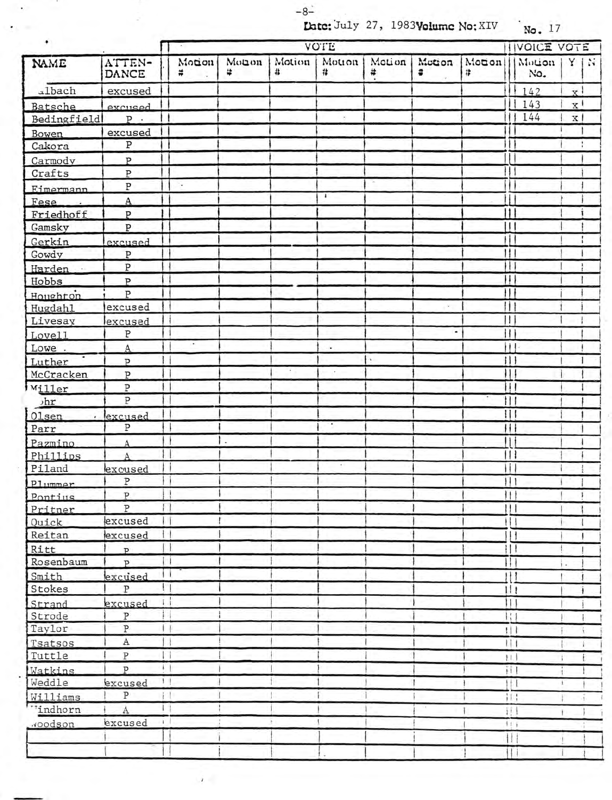$-8$  $-$ 

**Date:** July 27, 1983Velume No: XIV No. 17

| ATTEN-<br>Monon<br>Motion<br>Motion<br>Motion<br>Motion<br>Motion<br>NAME<br>Motion<br>Motion   Y<br>#<br>×<br>#<br>#<br>#<br>#<br>#<br>No.<br>DANCE<br><i>albach</i><br>142<br>excused<br>$\mathbf{x}$<br>143<br>x <sup>1</sup><br>Batsche<br>excused<br>144<br>x<br>Bedingfield<br>$P$ .<br>excused<br>Bowen<br>Ρ<br>Cakora<br>P<br>Carmody<br>$\overline{P}$<br>Crafts<br>Ρ<br>$\bullet$<br>Eimermann<br>H.<br>A<br>Fese<br>Ш<br>P<br>Friedhoff<br>Ш<br>$\mathbf{P}$<br>Gamsky<br>H<br>Gerkin<br>excused<br>11.<br>Gowdy<br>P<br>$\rm \bar{P}$<br>H<br>Harden ·<br>$\mathbf{H}$<br>P<br><b>Hobbs</b><br>11<br>Houghton<br>$\mathbf{P}$<br>11<br>excused<br>$\mathcal{A}$<br>Ħ<br>Livesay<br>lexcused<br>$\, {\bf p}$<br>Ħ<br>٠<br>e.<br>i١١<br>A<br>Lowe.<br>٠<br>111<br>P<br>×<br>H<br>$\, {\bf P}$<br>$\, {\bf p}$<br>Ħ<br>P<br>Ħ.<br>,hr<br>$\mathbf{  }$<br>Olsen<br>excused<br>$\bullet$<br>$\bullet$<br>${\tt P}$<br>$\mathbf{H}$<br>Parr<br>н<br>$\Delta$<br>$\vert \vert$<br>Δ<br>H<br>Piland<br>excused<br>P<br>   <br>Plummer<br>P<br>Ħ<br>Pontius<br>$\, {\bf P}$<br>$\Box$<br>11  <br>excused<br>$\vert \vert$<br>Quick<br>Ш<br>Ħ<br>excused<br>Шł<br>!!!<br>$\overline{P}$<br>$\overline{p}$<br>11<br>, ,<br>excused<br>$^{\prime\prime}$<br>$\mathbf{1}$<br>${\tt P}$<br>111<br>$\Box$<br>11 1<br>excused<br>$\, {\bf p}$<br>$\mathbf{1}$<br>$\vert \vert$<br>$\, {\bf p}$<br>tτ<br>111<br>A<br>$\mathbb{H}$<br>$\, {\bf p}$<br>11.1<br>$\left  \cdot \right $<br>$\mathbf{P}$<br>ïΠ<br>1 <sub>1</sub><br>excused<br>111<br>$\Lambda$<br>$\, {\bf P}$<br>$\mathbb{N}$<br>11:<br>"indhorn<br>$\left  \cdot \right $<br>$\mathbf{A}$<br>$\{ \}$<br>Ŧ<br>$\frac{1}{2}$<br>excused<br>voodson<br>11.1<br>Ш<br>Ш | ٠         |  |  | <b>IVOICE VOTE</b> |  |  |  |  |              |
|------------------------------------------------------------------------------------------------------------------------------------------------------------------------------------------------------------------------------------------------------------------------------------------------------------------------------------------------------------------------------------------------------------------------------------------------------------------------------------------------------------------------------------------------------------------------------------------------------------------------------------------------------------------------------------------------------------------------------------------------------------------------------------------------------------------------------------------------------------------------------------------------------------------------------------------------------------------------------------------------------------------------------------------------------------------------------------------------------------------------------------------------------------------------------------------------------------------------------------------------------------------------------------------------------------------------------------------------------------------------------------------------------------------------------------------------------------------------------------------------------------------------------------------------------------------------------------------------------------------------------------------------------------------------------------------------------------------------------|-----------|--|--|--------------------|--|--|--|--|--------------|
|                                                                                                                                                                                                                                                                                                                                                                                                                                                                                                                                                                                                                                                                                                                                                                                                                                                                                                                                                                                                                                                                                                                                                                                                                                                                                                                                                                                                                                                                                                                                                                                                                                                                                                                              |           |  |  |                    |  |  |  |  | $\mathbf{1}$ |
|                                                                                                                                                                                                                                                                                                                                                                                                                                                                                                                                                                                                                                                                                                                                                                                                                                                                                                                                                                                                                                                                                                                                                                                                                                                                                                                                                                                                                                                                                                                                                                                                                                                                                                                              |           |  |  |                    |  |  |  |  |              |
|                                                                                                                                                                                                                                                                                                                                                                                                                                                                                                                                                                                                                                                                                                                                                                                                                                                                                                                                                                                                                                                                                                                                                                                                                                                                                                                                                                                                                                                                                                                                                                                                                                                                                                                              |           |  |  |                    |  |  |  |  |              |
|                                                                                                                                                                                                                                                                                                                                                                                                                                                                                                                                                                                                                                                                                                                                                                                                                                                                                                                                                                                                                                                                                                                                                                                                                                                                                                                                                                                                                                                                                                                                                                                                                                                                                                                              |           |  |  |                    |  |  |  |  |              |
|                                                                                                                                                                                                                                                                                                                                                                                                                                                                                                                                                                                                                                                                                                                                                                                                                                                                                                                                                                                                                                                                                                                                                                                                                                                                                                                                                                                                                                                                                                                                                                                                                                                                                                                              |           |  |  |                    |  |  |  |  |              |
|                                                                                                                                                                                                                                                                                                                                                                                                                                                                                                                                                                                                                                                                                                                                                                                                                                                                                                                                                                                                                                                                                                                                                                                                                                                                                                                                                                                                                                                                                                                                                                                                                                                                                                                              |           |  |  |                    |  |  |  |  |              |
|                                                                                                                                                                                                                                                                                                                                                                                                                                                                                                                                                                                                                                                                                                                                                                                                                                                                                                                                                                                                                                                                                                                                                                                                                                                                                                                                                                                                                                                                                                                                                                                                                                                                                                                              |           |  |  |                    |  |  |  |  |              |
|                                                                                                                                                                                                                                                                                                                                                                                                                                                                                                                                                                                                                                                                                                                                                                                                                                                                                                                                                                                                                                                                                                                                                                                                                                                                                                                                                                                                                                                                                                                                                                                                                                                                                                                              |           |  |  |                    |  |  |  |  |              |
|                                                                                                                                                                                                                                                                                                                                                                                                                                                                                                                                                                                                                                                                                                                                                                                                                                                                                                                                                                                                                                                                                                                                                                                                                                                                                                                                                                                                                                                                                                                                                                                                                                                                                                                              |           |  |  |                    |  |  |  |  |              |
|                                                                                                                                                                                                                                                                                                                                                                                                                                                                                                                                                                                                                                                                                                                                                                                                                                                                                                                                                                                                                                                                                                                                                                                                                                                                                                                                                                                                                                                                                                                                                                                                                                                                                                                              |           |  |  |                    |  |  |  |  |              |
|                                                                                                                                                                                                                                                                                                                                                                                                                                                                                                                                                                                                                                                                                                                                                                                                                                                                                                                                                                                                                                                                                                                                                                                                                                                                                                                                                                                                                                                                                                                                                                                                                                                                                                                              |           |  |  |                    |  |  |  |  |              |
|                                                                                                                                                                                                                                                                                                                                                                                                                                                                                                                                                                                                                                                                                                                                                                                                                                                                                                                                                                                                                                                                                                                                                                                                                                                                                                                                                                                                                                                                                                                                                                                                                                                                                                                              |           |  |  |                    |  |  |  |  |              |
|                                                                                                                                                                                                                                                                                                                                                                                                                                                                                                                                                                                                                                                                                                                                                                                                                                                                                                                                                                                                                                                                                                                                                                                                                                                                                                                                                                                                                                                                                                                                                                                                                                                                                                                              |           |  |  |                    |  |  |  |  |              |
|                                                                                                                                                                                                                                                                                                                                                                                                                                                                                                                                                                                                                                                                                                                                                                                                                                                                                                                                                                                                                                                                                                                                                                                                                                                                                                                                                                                                                                                                                                                                                                                                                                                                                                                              |           |  |  |                    |  |  |  |  |              |
|                                                                                                                                                                                                                                                                                                                                                                                                                                                                                                                                                                                                                                                                                                                                                                                                                                                                                                                                                                                                                                                                                                                                                                                                                                                                                                                                                                                                                                                                                                                                                                                                                                                                                                                              |           |  |  |                    |  |  |  |  |              |
|                                                                                                                                                                                                                                                                                                                                                                                                                                                                                                                                                                                                                                                                                                                                                                                                                                                                                                                                                                                                                                                                                                                                                                                                                                                                                                                                                                                                                                                                                                                                                                                                                                                                                                                              |           |  |  |                    |  |  |  |  |              |
|                                                                                                                                                                                                                                                                                                                                                                                                                                                                                                                                                                                                                                                                                                                                                                                                                                                                                                                                                                                                                                                                                                                                                                                                                                                                                                                                                                                                                                                                                                                                                                                                                                                                                                                              |           |  |  |                    |  |  |  |  |              |
|                                                                                                                                                                                                                                                                                                                                                                                                                                                                                                                                                                                                                                                                                                                                                                                                                                                                                                                                                                                                                                                                                                                                                                                                                                                                                                                                                                                                                                                                                                                                                                                                                                                                                                                              | Hugdahl   |  |  |                    |  |  |  |  |              |
|                                                                                                                                                                                                                                                                                                                                                                                                                                                                                                                                                                                                                                                                                                                                                                                                                                                                                                                                                                                                                                                                                                                                                                                                                                                                                                                                                                                                                                                                                                                                                                                                                                                                                                                              |           |  |  |                    |  |  |  |  |              |
|                                                                                                                                                                                                                                                                                                                                                                                                                                                                                                                                                                                                                                                                                                                                                                                                                                                                                                                                                                                                                                                                                                                                                                                                                                                                                                                                                                                                                                                                                                                                                                                                                                                                                                                              | Love11    |  |  |                    |  |  |  |  |              |
|                                                                                                                                                                                                                                                                                                                                                                                                                                                                                                                                                                                                                                                                                                                                                                                                                                                                                                                                                                                                                                                                                                                                                                                                                                                                                                                                                                                                                                                                                                                                                                                                                                                                                                                              |           |  |  |                    |  |  |  |  |              |
|                                                                                                                                                                                                                                                                                                                                                                                                                                                                                                                                                                                                                                                                                                                                                                                                                                                                                                                                                                                                                                                                                                                                                                                                                                                                                                                                                                                                                                                                                                                                                                                                                                                                                                                              | Luther    |  |  |                    |  |  |  |  |              |
|                                                                                                                                                                                                                                                                                                                                                                                                                                                                                                                                                                                                                                                                                                                                                                                                                                                                                                                                                                                                                                                                                                                                                                                                                                                                                                                                                                                                                                                                                                                                                                                                                                                                                                                              | McCracken |  |  |                    |  |  |  |  |              |
|                                                                                                                                                                                                                                                                                                                                                                                                                                                                                                                                                                                                                                                                                                                                                                                                                                                                                                                                                                                                                                                                                                                                                                                                                                                                                                                                                                                                                                                                                                                                                                                                                                                                                                                              | Miller    |  |  |                    |  |  |  |  |              |
|                                                                                                                                                                                                                                                                                                                                                                                                                                                                                                                                                                                                                                                                                                                                                                                                                                                                                                                                                                                                                                                                                                                                                                                                                                                                                                                                                                                                                                                                                                                                                                                                                                                                                                                              |           |  |  |                    |  |  |  |  |              |
|                                                                                                                                                                                                                                                                                                                                                                                                                                                                                                                                                                                                                                                                                                                                                                                                                                                                                                                                                                                                                                                                                                                                                                                                                                                                                                                                                                                                                                                                                                                                                                                                                                                                                                                              |           |  |  |                    |  |  |  |  |              |
|                                                                                                                                                                                                                                                                                                                                                                                                                                                                                                                                                                                                                                                                                                                                                                                                                                                                                                                                                                                                                                                                                                                                                                                                                                                                                                                                                                                                                                                                                                                                                                                                                                                                                                                              |           |  |  |                    |  |  |  |  |              |
|                                                                                                                                                                                                                                                                                                                                                                                                                                                                                                                                                                                                                                                                                                                                                                                                                                                                                                                                                                                                                                                                                                                                                                                                                                                                                                                                                                                                                                                                                                                                                                                                                                                                                                                              | Pazmino   |  |  |                    |  |  |  |  |              |
|                                                                                                                                                                                                                                                                                                                                                                                                                                                                                                                                                                                                                                                                                                                                                                                                                                                                                                                                                                                                                                                                                                                                                                                                                                                                                                                                                                                                                                                                                                                                                                                                                                                                                                                              | Phillips  |  |  |                    |  |  |  |  |              |
|                                                                                                                                                                                                                                                                                                                                                                                                                                                                                                                                                                                                                                                                                                                                                                                                                                                                                                                                                                                                                                                                                                                                                                                                                                                                                                                                                                                                                                                                                                                                                                                                                                                                                                                              |           |  |  |                    |  |  |  |  |              |
|                                                                                                                                                                                                                                                                                                                                                                                                                                                                                                                                                                                                                                                                                                                                                                                                                                                                                                                                                                                                                                                                                                                                                                                                                                                                                                                                                                                                                                                                                                                                                                                                                                                                                                                              |           |  |  |                    |  |  |  |  |              |
|                                                                                                                                                                                                                                                                                                                                                                                                                                                                                                                                                                                                                                                                                                                                                                                                                                                                                                                                                                                                                                                                                                                                                                                                                                                                                                                                                                                                                                                                                                                                                                                                                                                                                                                              |           |  |  |                    |  |  |  |  |              |
|                                                                                                                                                                                                                                                                                                                                                                                                                                                                                                                                                                                                                                                                                                                                                                                                                                                                                                                                                                                                                                                                                                                                                                                                                                                                                                                                                                                                                                                                                                                                                                                                                                                                                                                              | Pritner   |  |  |                    |  |  |  |  |              |
|                                                                                                                                                                                                                                                                                                                                                                                                                                                                                                                                                                                                                                                                                                                                                                                                                                                                                                                                                                                                                                                                                                                                                                                                                                                                                                                                                                                                                                                                                                                                                                                                                                                                                                                              |           |  |  |                    |  |  |  |  |              |
|                                                                                                                                                                                                                                                                                                                                                                                                                                                                                                                                                                                                                                                                                                                                                                                                                                                                                                                                                                                                                                                                                                                                                                                                                                                                                                                                                                                                                                                                                                                                                                                                                                                                                                                              | Reitan    |  |  |                    |  |  |  |  |              |
|                                                                                                                                                                                                                                                                                                                                                                                                                                                                                                                                                                                                                                                                                                                                                                                                                                                                                                                                                                                                                                                                                                                                                                                                                                                                                                                                                                                                                                                                                                                                                                                                                                                                                                                              | Ritt      |  |  |                    |  |  |  |  |              |
|                                                                                                                                                                                                                                                                                                                                                                                                                                                                                                                                                                                                                                                                                                                                                                                                                                                                                                                                                                                                                                                                                                                                                                                                                                                                                                                                                                                                                                                                                                                                                                                                                                                                                                                              | Rosenbaum |  |  |                    |  |  |  |  |              |
|                                                                                                                                                                                                                                                                                                                                                                                                                                                                                                                                                                                                                                                                                                                                                                                                                                                                                                                                                                                                                                                                                                                                                                                                                                                                                                                                                                                                                                                                                                                                                                                                                                                                                                                              | Smith     |  |  |                    |  |  |  |  |              |
|                                                                                                                                                                                                                                                                                                                                                                                                                                                                                                                                                                                                                                                                                                                                                                                                                                                                                                                                                                                                                                                                                                                                                                                                                                                                                                                                                                                                                                                                                                                                                                                                                                                                                                                              | Stokes    |  |  |                    |  |  |  |  |              |
|                                                                                                                                                                                                                                                                                                                                                                                                                                                                                                                                                                                                                                                                                                                                                                                                                                                                                                                                                                                                                                                                                                                                                                                                                                                                                                                                                                                                                                                                                                                                                                                                                                                                                                                              | Strand    |  |  |                    |  |  |  |  |              |
|                                                                                                                                                                                                                                                                                                                                                                                                                                                                                                                                                                                                                                                                                                                                                                                                                                                                                                                                                                                                                                                                                                                                                                                                                                                                                                                                                                                                                                                                                                                                                                                                                                                                                                                              | Strode    |  |  |                    |  |  |  |  |              |
|                                                                                                                                                                                                                                                                                                                                                                                                                                                                                                                                                                                                                                                                                                                                                                                                                                                                                                                                                                                                                                                                                                                                                                                                                                                                                                                                                                                                                                                                                                                                                                                                                                                                                                                              | Taylor    |  |  |                    |  |  |  |  |              |
|                                                                                                                                                                                                                                                                                                                                                                                                                                                                                                                                                                                                                                                                                                                                                                                                                                                                                                                                                                                                                                                                                                                                                                                                                                                                                                                                                                                                                                                                                                                                                                                                                                                                                                                              | Tsatsos   |  |  |                    |  |  |  |  |              |
|                                                                                                                                                                                                                                                                                                                                                                                                                                                                                                                                                                                                                                                                                                                                                                                                                                                                                                                                                                                                                                                                                                                                                                                                                                                                                                                                                                                                                                                                                                                                                                                                                                                                                                                              | Tuttle    |  |  |                    |  |  |  |  |              |
|                                                                                                                                                                                                                                                                                                                                                                                                                                                                                                                                                                                                                                                                                                                                                                                                                                                                                                                                                                                                                                                                                                                                                                                                                                                                                                                                                                                                                                                                                                                                                                                                                                                                                                                              | Watkins   |  |  |                    |  |  |  |  |              |
|                                                                                                                                                                                                                                                                                                                                                                                                                                                                                                                                                                                                                                                                                                                                                                                                                                                                                                                                                                                                                                                                                                                                                                                                                                                                                                                                                                                                                                                                                                                                                                                                                                                                                                                              | Weddle    |  |  |                    |  |  |  |  |              |
|                                                                                                                                                                                                                                                                                                                                                                                                                                                                                                                                                                                                                                                                                                                                                                                                                                                                                                                                                                                                                                                                                                                                                                                                                                                                                                                                                                                                                                                                                                                                                                                                                                                                                                                              | Williams  |  |  |                    |  |  |  |  |              |
|                                                                                                                                                                                                                                                                                                                                                                                                                                                                                                                                                                                                                                                                                                                                                                                                                                                                                                                                                                                                                                                                                                                                                                                                                                                                                                                                                                                                                                                                                                                                                                                                                                                                                                                              |           |  |  |                    |  |  |  |  |              |
|                                                                                                                                                                                                                                                                                                                                                                                                                                                                                                                                                                                                                                                                                                                                                                                                                                                                                                                                                                                                                                                                                                                                                                                                                                                                                                                                                                                                                                                                                                                                                                                                                                                                                                                              |           |  |  |                    |  |  |  |  |              |
|                                                                                                                                                                                                                                                                                                                                                                                                                                                                                                                                                                                                                                                                                                                                                                                                                                                                                                                                                                                                                                                                                                                                                                                                                                                                                                                                                                                                                                                                                                                                                                                                                                                                                                                              |           |  |  |                    |  |  |  |  |              |
|                                                                                                                                                                                                                                                                                                                                                                                                                                                                                                                                                                                                                                                                                                                                                                                                                                                                                                                                                                                                                                                                                                                                                                                                                                                                                                                                                                                                                                                                                                                                                                                                                                                                                                                              |           |  |  |                    |  |  |  |  |              |

 $\mathcal{F}$